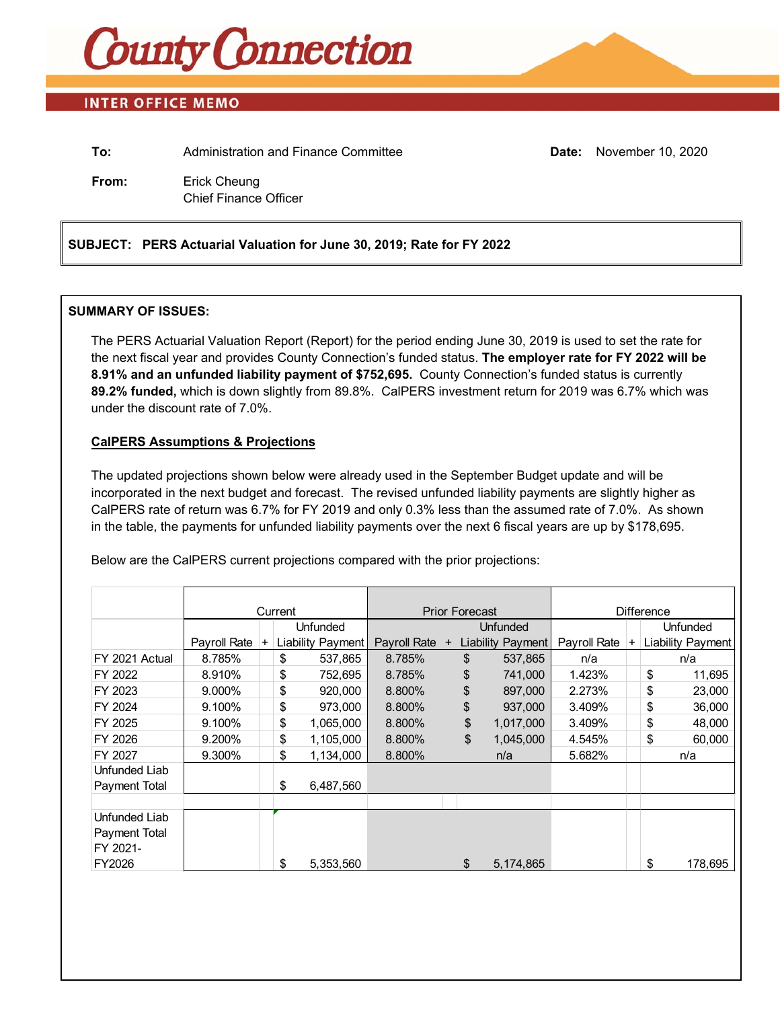

### **INTER OFFICE MEMO**

| To:   | Administration and Finance Committee         | <b>Date:</b> November 10, 2020 |
|-------|----------------------------------------------|--------------------------------|
| From: | Erick Cheung<br><b>Chief Finance Officer</b> |                                |

### **SUBJECT: PERS Actuarial Valuation for June 30, 2019; Rate for FY 2022**

### **SUMMARY OF ISSUES:**

The PERS Actuarial Valuation Report (Report) for the period ending June 30, 2019 is used to set the rate for the next fiscal year and provides County Connection's funded status. **The employer rate for FY 2022 will be 8.91% and an unfunded liability payment of \$752,695.** County Connection's funded status is currently **89.2% funded,** which is down slightly from 89.8%. CalPERS investment return for 2019 was 6.7% which was under the discount rate of 7.0%.

### **CalPERS Assumptions & Projections**

The updated projections shown below were already used in the September Budget update and will be incorporated in the next budget and forecast. The revised unfunded liability payments are slightly higher as CalPERS rate of return was 6.7% for FY 2019 and only 0.3% less than the assumed rate of 7.0%. As shown in the table, the payments for unfunded liability payments over the next 6 fiscal years are up by \$178,695.

Below are the CalPERS current projections compared with the prior projections:

|                |              | Current   |    |                   | <b>Prior Forecast</b> |                 |    | <b>Difference</b> |              |                |                 |                          |
|----------------|--------------|-----------|----|-------------------|-----------------------|-----------------|----|-------------------|--------------|----------------|-----------------|--------------------------|
|                |              |           |    | <b>Unfunded</b>   |                       | <b>Unfunded</b> |    |                   |              |                | <b>Unfunded</b> |                          |
|                | Payroll Rate | $\ddot{}$ |    | Liability Payment | Payroll Rate          | $+$             |    | Liability Payment | Payroll Rate | $\overline{+}$ |                 | <b>Liability Payment</b> |
| FY 2021 Actual | 8.785%       |           | \$ | 537,865           | 8.785%                |                 | \$ | 537,865           | n/a          |                |                 | n/a                      |
| FY 2022        | 8.910%       |           | \$ | 752,695           | 8.785%                |                 | \$ | 741,000           | 1.423%       |                | \$              | 11,695                   |
| FY 2023        | 9.000%       |           | \$ | 920,000           | 8.800%                |                 | \$ | 897,000           | 2.273%       |                | \$              | 23,000                   |
| FY 2024        | 9.100%       |           | \$ | 973,000           | 8.800%                |                 | \$ | 937,000           | 3.409%       |                | \$              | 36,000                   |
| FY 2025        | 9.100%       |           | \$ | 1,065,000         | 8.800%                |                 | \$ | 1,017,000         | 3.409%       |                | \$              | 48,000                   |
| FY 2026        | 9.200%       |           | \$ | 1,105,000         | 8.800%                |                 | \$ | 1,045,000         | 4.545%       |                | \$              | 60,000                   |
| FY 2027        | 9.300%       |           | \$ | 1,134,000         | 8.800%                |                 |    | n/a               | 5.682%       |                |                 | n/a                      |
| Unfunded Liab  |              |           |    |                   |                       |                 |    |                   |              |                |                 |                          |
| Payment Total  |              |           | \$ | 6,487,560         |                       |                 |    |                   |              |                |                 |                          |
|                |              |           |    |                   |                       |                 |    |                   |              |                |                 |                          |
| Unfunded Liab  |              |           |    |                   |                       |                 |    |                   |              |                |                 |                          |
| Payment Total  |              |           |    |                   |                       |                 |    |                   |              |                |                 |                          |
| FY 2021-       |              |           |    |                   |                       |                 |    |                   |              |                |                 |                          |
| FY2026         |              |           | \$ | 5,353,560         |                       |                 | \$ | 5,174,865         |              |                | \$              | 178,695                  |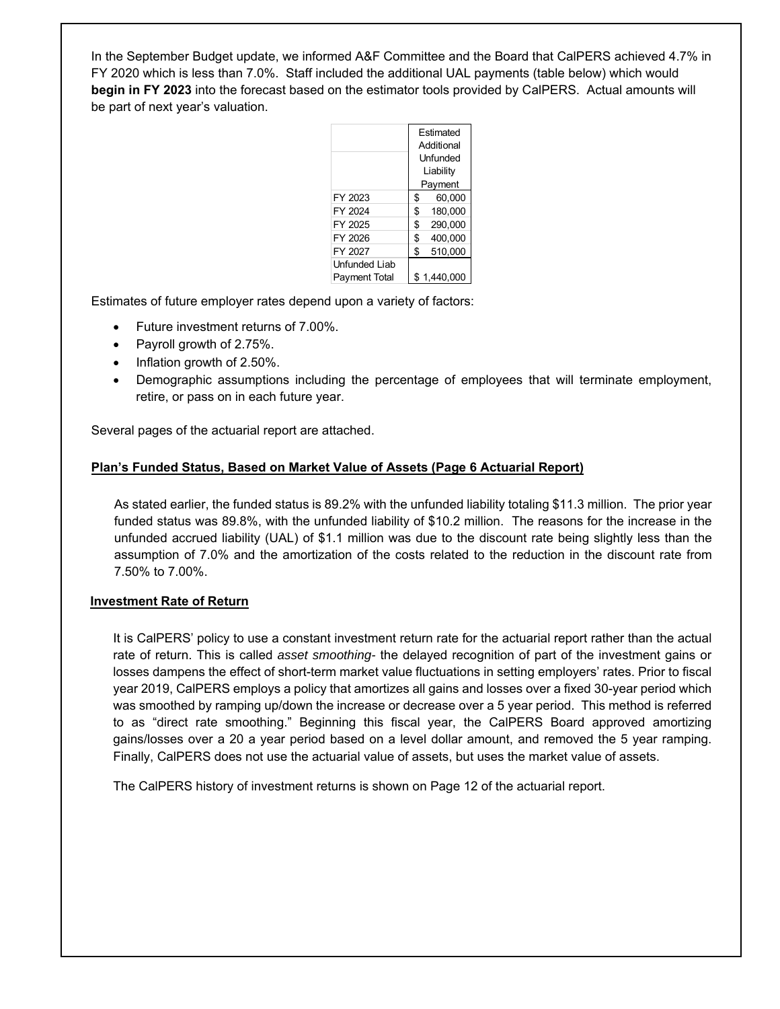In the September Budget update, we informed A&F Committee and the Board that CalPERS achieved 4.7% in FY 2020 which is less than 7.0%. Staff included the additional UAL payments (table below) which would **begin in FY 2023** into the forecast based on the estimator tools provided by CalPERS. Actual amounts will be part of next year's valuation.

|               |            | Estimated   |  |
|---------------|------------|-------------|--|
|               | Additional |             |  |
|               |            | Unfunded    |  |
|               |            | Liability   |  |
|               |            | Payment     |  |
| FY 2023       | \$         | 60,000      |  |
| FY 2024       | \$         | 180,000     |  |
| FY 2025       | \$         | 290,000     |  |
| FY 2026       | \$         | 400,000     |  |
| FY 2027       | \$         | 510,000     |  |
| Unfunded Liab |            |             |  |
| Payment Total |            | \$1,440,000 |  |

Estimates of future employer rates depend upon a variety of factors:

- Future investment returns of 7.00%.
- Payroll growth of 2.75%.
- $\bullet$  Inflation growth of 2.50%.
- Demographic assumptions including the percentage of employees that will terminate employment, retire, or pass on in each future year.

Several pages of the actuarial report are attached.

### **Plan's Funded Status, Based on Market Value of Assets (Page 6 Actuarial Report)**

As stated earlier, the funded status is 89.2% with the unfunded liability totaling \$11.3 million. The prior year funded status was 89.8%, with the unfunded liability of \$10.2 million. The reasons for the increase in the unfunded accrued liability (UAL) of \$1.1 million was due to the discount rate being slightly less than the assumption of 7.0% and the amortization of the costs related to the reduction in the discount rate from 7.50% to 7.00%.

#### **Investment Rate of Return**

It is CalPERS' policy to use a constant investment return rate for the actuarial report rather than the actual rate of return. This is called *asset smoothing-* the delayed recognition of part of the investment gains or losses dampens the effect of short-term market value fluctuations in setting employers' rates. Prior to fiscal year 2019, CalPERS employs a policy that amortizes all gains and losses over a fixed 30-year period which was smoothed by ramping up/down the increase or decrease over a 5 year period. This method is referred to as "direct rate smoothing." Beginning this fiscal year, the CalPERS Board approved amortizing gains/losses over a 20 a year period based on a level dollar amount, and removed the 5 year ramping. Finally, CalPERS does not use the actuarial value of assets, but uses the market value of assets.

The CalPERS history of investment returns is shown on Page 12 of the actuarial report.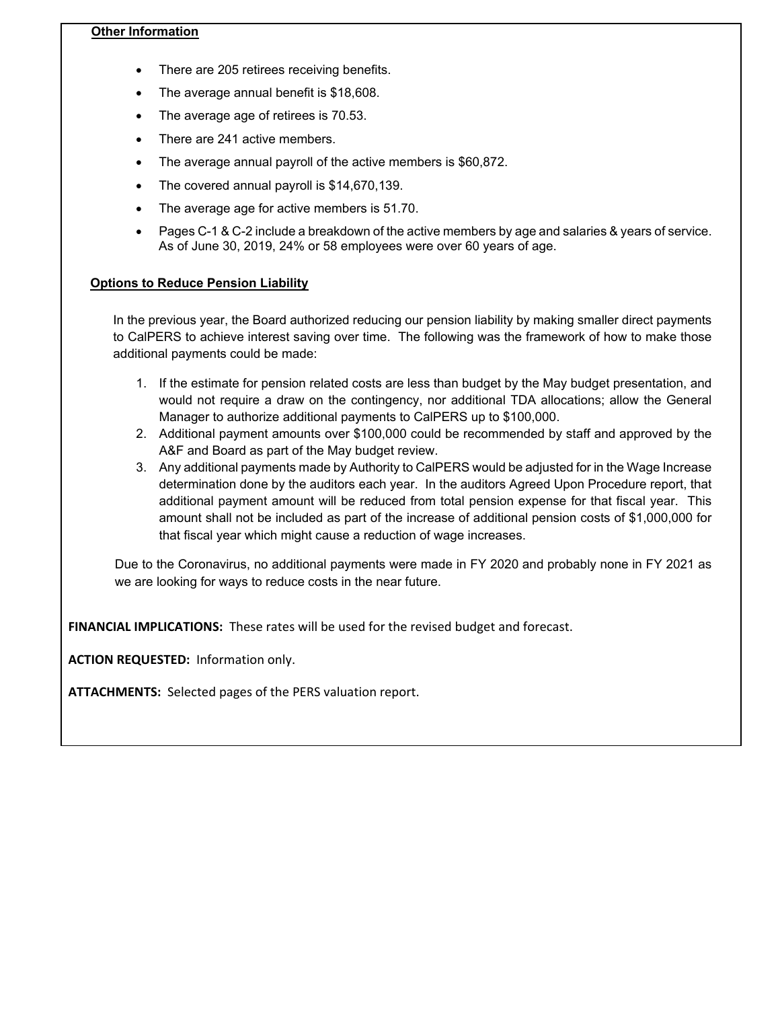### **Other Information**

- There are 205 retirees receiving benefits.
- The average annual benefit is \$18,608.
- The average age of retirees is 70.53.
- There are 241 active members.
- The average annual payroll of the active members is \$60,872.
- The covered annual payroll is \$14,670,139.
- The average age for active members is 51.70.
- Pages C-1 & C-2 include a breakdown of the active members by age and salaries & years of service. As of June 30, 2019, 24% or 58 employees were over 60 years of age.

### **Options to Reduce Pension Liability**

In the previous year, the Board authorized reducing our pension liability by making smaller direct payments to CalPERS to achieve interest saving over time. The following was the framework of how to make those additional payments could be made:

- 1. If the estimate for pension related costs are less than budget by the May budget presentation, and would not require a draw on the contingency, nor additional TDA allocations; allow the General Manager to authorize additional payments to CalPERS up to \$100,000.
- 2. Additional payment amounts over \$100,000 could be recommended by staff and approved by the A&F and Board as part of the May budget review.
- 3. Any additional payments made by Authority to CalPERS would be adjusted for in the Wage Increase determination done by the auditors each year. In the auditors Agreed Upon Procedure report, that additional payment amount will be reduced from total pension expense for that fiscal year. This amount shall not be included as part of the increase of additional pension costs of \$1,000,000 for that fiscal year which might cause a reduction of wage increases.

Due to the Coronavirus, no additional payments were made in FY 2020 and probably none in FY 2021 as we are looking for ways to reduce costs in the near future.

FINANCIAL IMPLICATIONS: These rates will be used for the revised budget and forecast.

**ACTION REQUESTED: Information only.** 

ATTACHMENTS: Selected pages of the PERS valuation report.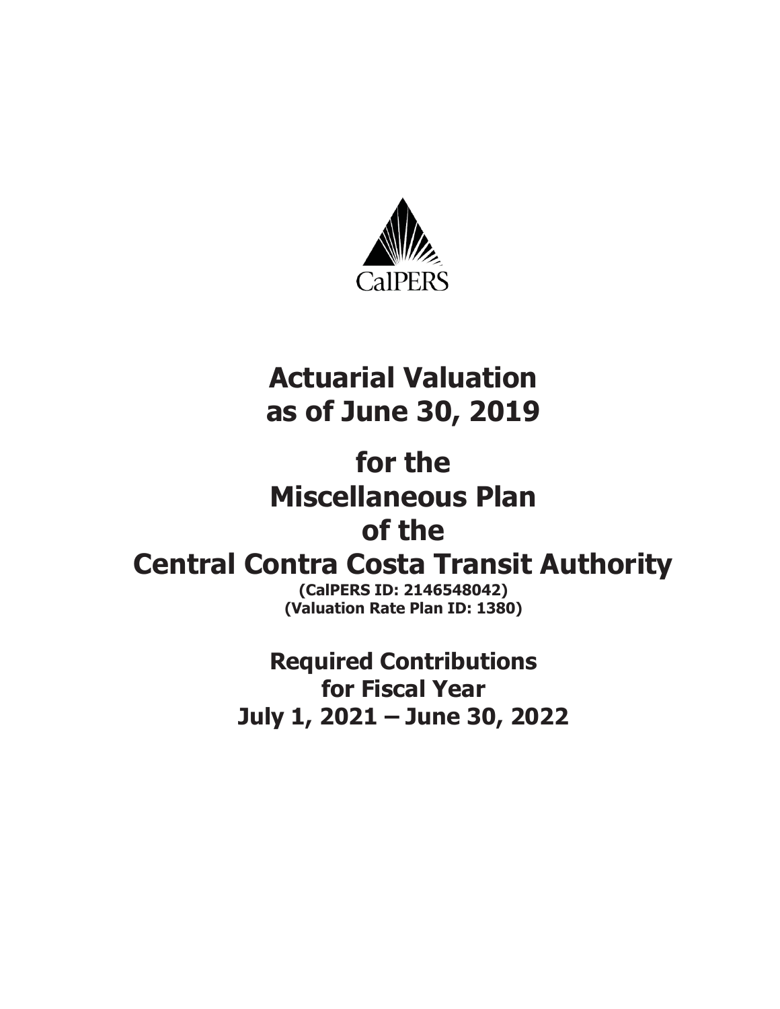

# **Actuarial Valuation as of June 30, 2019**

# **for the Miscellaneous Plan of the**

# **Central Contra Costa Transit Authority**

**(CalPERS ID: 2146548042) (Valuation Rate Plan ID: 1380)** 

**Required Contributions for Fiscal Year July 1, 2021 – June 30, 2022**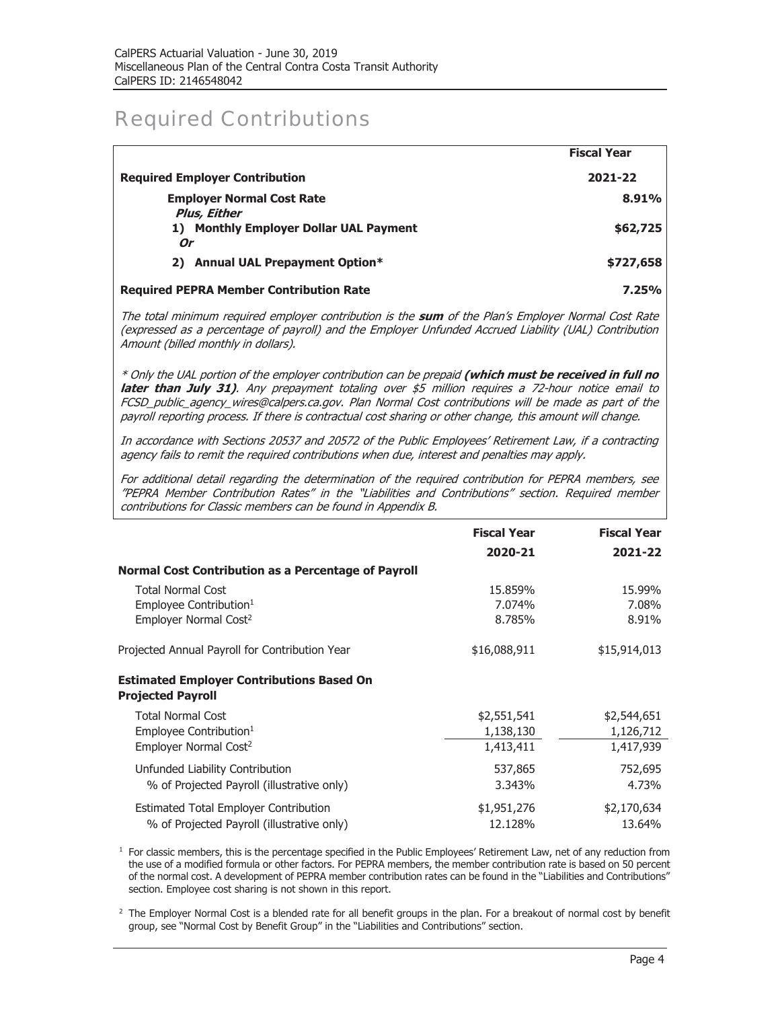### Required Contributions

|                                                | <b>Fiscal Year</b> |
|------------------------------------------------|--------------------|
| <b>Required Employer Contribution</b>          | 2021-22            |
| <b>Employer Normal Cost Rate</b>               | 8.91%              |
| Plus, Either                                   |                    |
| 1) Monthly Employer Dollar UAL Payment         | \$62,725           |
| Or                                             |                    |
| 2) Annual UAL Prepayment Option*               | \$727,658          |
| <b>Required PEPRA Member Contribution Rate</b> | 7.25%              |

The total minimum required employer contribution is the **sum** of the Plan's Employer Normal Cost Rate (expressed as a percentage of payroll) and the Employer Unfunded Accrued Liability (UAL) Contribution Amount (billed monthly in dollars).

\* Only the UAL portion of the employer contribution can be prepaid **(which must be received in full no**  later than July 31). Any prepayment totaling over \$5 million requires a 72-hour notice email to FCSD\_public\_agency\_wires@calpers.ca.gov. Plan Normal Cost contributions will be made as part of the payroll reporting process. If there is contractual cost sharing or other change, this amount will change.

In accordance with Sections 20537 and 20572 of the Public Employees' Retirement Law, if a contracting agency fails to remit the required contributions when due, interest and penalties may apply.

For additional detail regarding the determination of the required contribution for PEPRA members, see "PEPRA Member Contribution Rates" in the "Liabilities and Contributions" section. Required member contributions for Classic members can be found in Appendix B.

|                                                                                                     | <b>Fiscal Year</b>                    | <b>Fiscal Year</b>                    |
|-----------------------------------------------------------------------------------------------------|---------------------------------------|---------------------------------------|
|                                                                                                     | 2020-21                               | 2021-22                               |
| <b>Normal Cost Contribution as a Percentage of Payroll</b>                                          |                                       |                                       |
| <b>Total Normal Cost</b><br>Employee Contribution <sup>1</sup><br>Employer Normal Cost <sup>2</sup> | 15.859%<br>7.074%<br>8.785%           | 15.99%<br>7.08%<br>8.91%              |
| Projected Annual Payroll for Contribution Year                                                      | \$16,088,911                          | \$15,914,013                          |
| <b>Estimated Employer Contributions Based On</b><br><b>Projected Payroll</b>                        |                                       |                                       |
| <b>Total Normal Cost</b><br>Employee Contribution <sup>1</sup><br>Employer Normal Cost <sup>2</sup> | \$2,551,541<br>1,138,130<br>1,413,411 | \$2,544,651<br>1,126,712<br>1,417,939 |
| Unfunded Liability Contribution<br>% of Projected Payroll (illustrative only)                       | 537,865<br>3.343%                     | 752,695<br>4.73%                      |
| <b>Estimated Total Employer Contribution</b><br>% of Projected Payroll (illustrative only)          | \$1,951,276<br>12.128%                | \$2,170,634<br>13.64%                 |

 $<sup>1</sup>$  For classic members, this is the percentage specified in the Public Employees' Retirement Law, net of any reduction from</sup> the use of a modified formula or other factors. For PEPRA members, the member contribution rate is based on 50 percent of the normal cost. A development of PEPRA member contribution rates can be found in the "Liabilities and Contributions" section. Employee cost sharing is not shown in this report.

 $2$  The Employer Normal Cost is a blended rate for all benefit groups in the plan. For a breakout of normal cost by benefit group, see "Normal Cost by Benefit Group" in the "Liabilities and Contributions" section.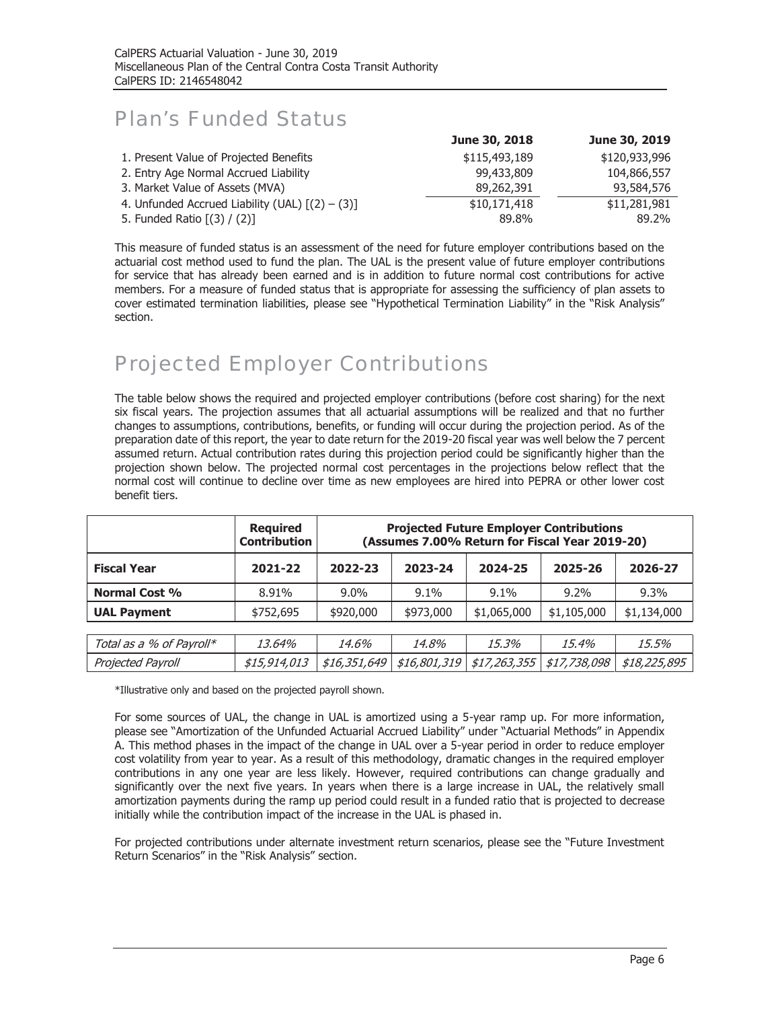## Plan's Funded Status

|                                                   | June 30, 2018 | June 30, 2019 |
|---------------------------------------------------|---------------|---------------|
| 1. Present Value of Projected Benefits            | \$115,493,189 | \$120,933,996 |
| 2. Entry Age Normal Accrued Liability             | 99,433,809    | 104,866,557   |
| 3. Market Value of Assets (MVA)                   | 89,262,391    | 93,584,576    |
| 4. Unfunded Accrued Liability (UAL) $[(2) - (3)]$ | \$10,171,418  | \$11,281,981  |
| 5. Funded Ratio [(3) / (2)]                       | 89.8%         | 89.2%         |

This measure of funded status is an assessment of the need for future employer contributions based on the actuarial cost method used to fund the plan. The UAL is the present value of future employer contributions for service that has already been earned and is in addition to future normal cost contributions for active members. For a measure of funded status that is appropriate for assessing the sufficiency of plan assets to cover estimated termination liabilities, please see "Hypothetical Termination Liability" in the "Risk Analysis" section.

## Projected Employer Contributions

The table below shows the required and projected employer contributions (before cost sharing) for the next six fiscal years. The projection assumes that all actuarial assumptions will be realized and that no further changes to assumptions, contributions, benefits, or funding will occur during the projection period. As of the preparation date of this report, the year to date return for the 2019-20 fiscal year was well below the 7 percent assumed return. Actual contribution rates during this projection period could be significantly higher than the projection shown below. The projected normal cost percentages in the projections below reflect that the normal cost will continue to decline over time as new employees are hired into PEPRA or other lower cost benefit tiers.

|                          | <b>Required</b><br><b>Contribution</b> | <b>Projected Future Employer Contributions</b><br>(Assumes 7.00% Return for Fiscal Year 2019-20) |              |              |              |              |  |  |
|--------------------------|----------------------------------------|--------------------------------------------------------------------------------------------------|--------------|--------------|--------------|--------------|--|--|
| <b>Fiscal Year</b>       | 2021-22                                | 2022-23                                                                                          | 2023-24      | 2024-25      | 2025-26      | 2026-27      |  |  |
| <b>Normal Cost %</b>     | 8.91%                                  | $9.0\%$                                                                                          | $9.1\%$      | $9.1\%$      | 9.2%         | $9.3\%$      |  |  |
| <b>UAL Payment</b>       | \$752,695                              | \$920,000                                                                                        | \$973,000    | \$1,065,000  | \$1,105,000  | \$1,134,000  |  |  |
|                          |                                        |                                                                                                  |              |              |              |              |  |  |
| Total as a % of Payroll* | 13.64%                                 | 14.6%                                                                                            | 14.8%        | 15.3%        | 15.4%        | 15.5%        |  |  |
| Projected Payroll        | \$15,914,013                           | \$16,351,649                                                                                     | \$16,801,319 | \$17,263,355 | \$17,738,098 | \$18,225,895 |  |  |

\*Illustrative only and based on the projected payroll shown.

For some sources of UAL, the change in UAL is amortized using a 5-year ramp up. For more information, please see "Amortization of the Unfunded Actuarial Accrued Liability" under "Actuarial Methods" in Appendix A. This method phases in the impact of the change in UAL over a 5-year period in order to reduce employer cost volatility from year to year. As a result of this methodology, dramatic changes in the required employer contributions in any one year are less likely. However, required contributions can change gradually and significantly over the next five years. In years when there is a large increase in UAL, the relatively small amortization payments during the ramp up period could result in a funded ratio that is projected to decrease initially while the contribution impact of the increase in the UAL is phased in.

For projected contributions under alternate investment return scenarios, please see the "Future Investment Return Scenarios" in the "Risk Analysis" section.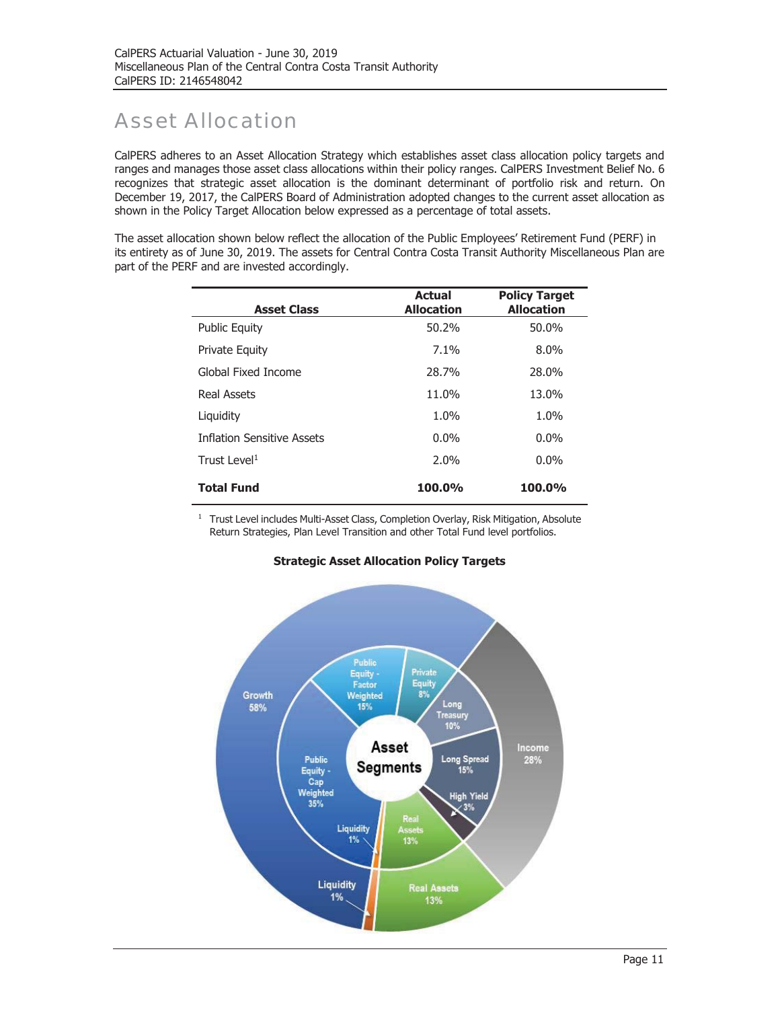# Asset Allocation

CalPERS adheres to an Asset Allocation Strategy which establishes asset class allocation policy targets and ranges and manages those asset class allocations within their policy ranges. CalPERS Investment Belief No. 6 recognizes that strategic asset allocation is the dominant determinant of portfolio risk and return. On December 19, 2017, the CalPERS Board of Administration adopted changes to the current asset allocation as shown in the Policy Target Allocation below expressed as a percentage of total assets.

The asset allocation shown below reflect the allocation of the Public Employees' Retirement Fund (PERF) in its entirety as of June 30, 2019. The assets for Central Contra Costa Transit Authority Miscellaneous Plan are part of the PERF and are invested accordingly.

| <b>Asset Class</b>                | <b>Actual</b><br><b>Allocation</b> | <b>Policy Target</b><br><b>Allocation</b> |
|-----------------------------------|------------------------------------|-------------------------------------------|
| <b>Public Equity</b>              | 50.2%                              | 50.0%                                     |
| <b>Private Equity</b>             | 7.1%                               | $8.0\%$                                   |
| Global Fixed Income               | 28.7%                              | 28.0%                                     |
| <b>Real Assets</b>                | 11.0%                              | 13.0%                                     |
| Liquidity                         | 1.0%                               | 1.0%                                      |
| <b>Inflation Sensitive Assets</b> | $0.0\%$                            | $0.0\%$                                   |
| Trust Level <sup>1</sup>          | $2.0\%$                            | $0.0\%$                                   |
| <b>Total Fund</b>                 | <b>100.0%</b>                      | <b>100.0%</b>                             |

<sup>1</sup> Trust Level includes Multi-Asset Class, Completion Overlay, Risk Mitigation, Absolute Return Strategies, Plan Level Transition and other Total Fund level portfolios.



#### **Strategic Asset Allocation Policy Targets**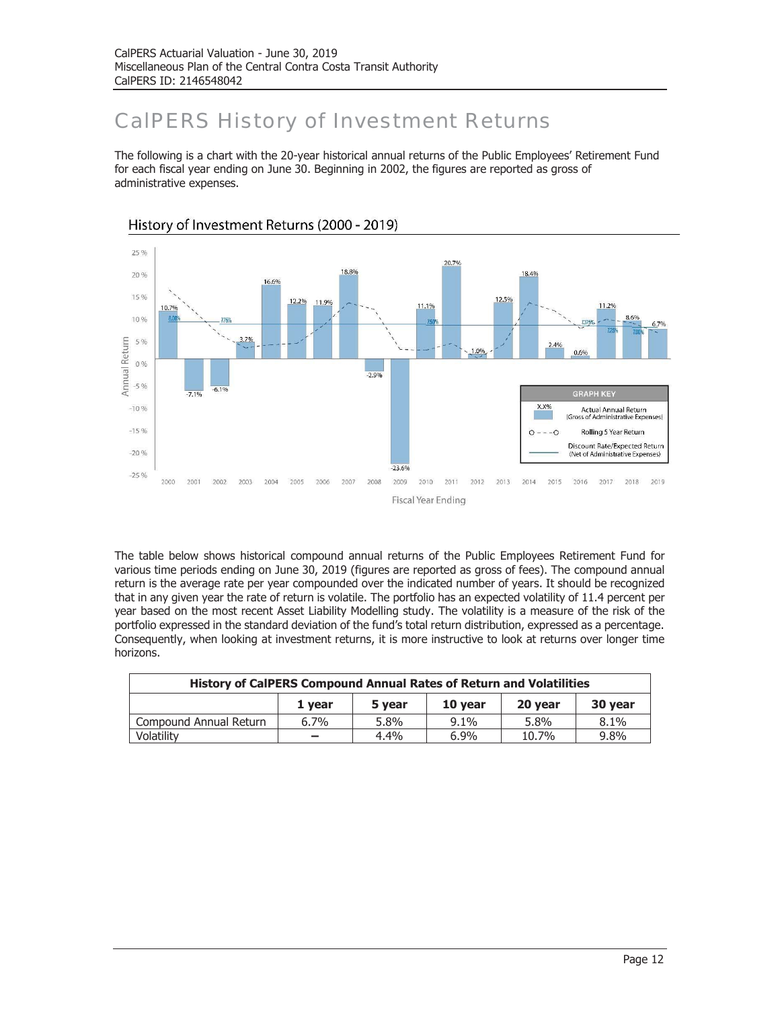# CalPERS History of Investment Returns

The following is a chart with the 20-year historical annual returns of the Public Employees' Retirement Fund for each fiscal year ending on June 30. Beginning in 2002, the figures are reported as gross of administrative expenses.



History of Investment Returns (2000 - 2019)

The table below shows historical compound annual returns of the Public Employees Retirement Fund for various time periods ending on June 30, 2019 (figures are reported as gross of fees). The compound annual return is the average rate per year compounded over the indicated number of years. It should be recognized that in any given year the rate of return is volatile. The portfolio has an expected volatility of 11.4 percent per year based on the most recent Asset Liability Modelling study. The volatility is a measure of the risk of the portfolio expressed in the standard deviation of the fund's total return distribution, expressed as a percentage. Consequently, when looking at investment returns, it is more instructive to look at returns over longer time horizons.

| <b>History of CalPERS Compound Annual Rates of Return and Volatilities</b> |                          |      |         |       |         |  |  |
|----------------------------------------------------------------------------|--------------------------|------|---------|-------|---------|--|--|
| 10 year<br>20 year<br>30 year<br>5 year<br>1 vear                          |                          |      |         |       |         |  |  |
| Compound Annual Return                                                     | $6.7\%$                  | 5.8% | $9.1\%$ | 5.8%  | 8.1%    |  |  |
| Volatilitv                                                                 | $\overline{\phantom{0}}$ | 4.4% | $6.9\%$ | 10.7% | $9.8\%$ |  |  |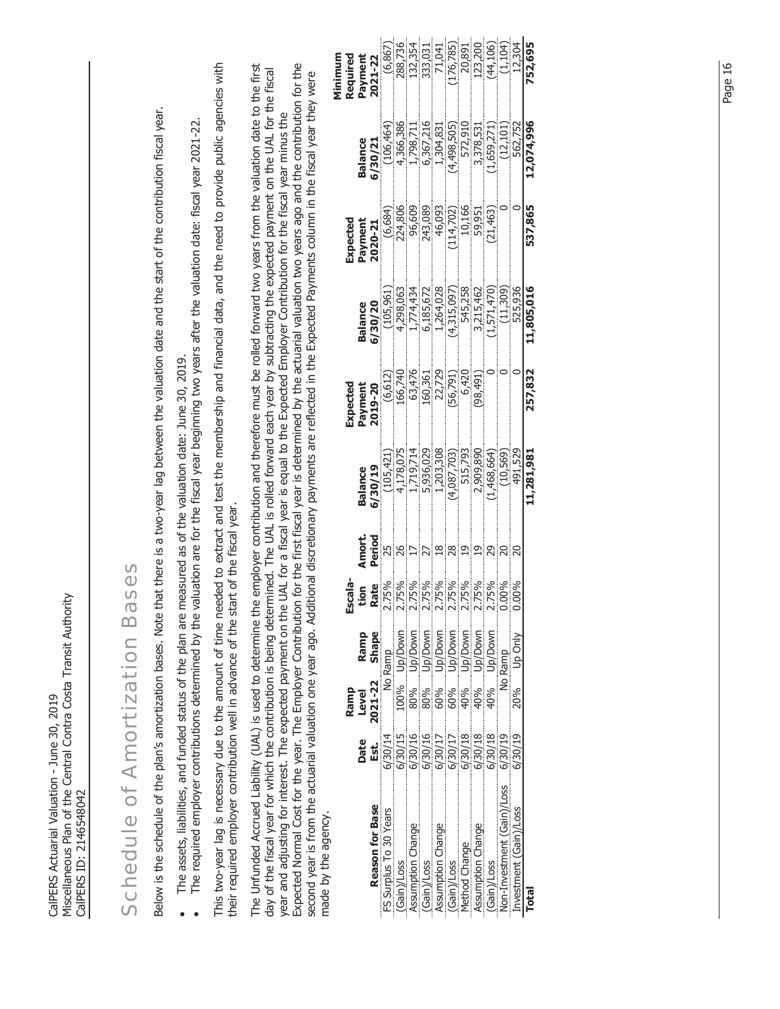| This two-year lag is necessary due to the amount of time needed to extract and test the membership and financial data, and the need to provide public agencies with<br>Expected Normal Cost for the year. The Employer Contribution for the first fiscal year is determined by the actuarial valuation two years ago and the contribution for the<br>The Unfunded Accrued Liability (UAL) is used to determine the employer contribution and therefore must be rolled forward two years from the valuation date to the first<br>day of the fiscal year for which the contribution is being determined. The UAL is rolled forward each year by subtracting the expected payment on the UAL for the fiscal<br>second year is from the actuarial valuation one year ago. Additional discretionary payments are reflected in the Expected Payments column in the fiscal year they were<br>nat there is a two-year lag between the valuation date and the start of the contribution fiscal year.<br>year and adjusting for interest. The expected payment on the UAL for a fiscal year is equal to the Expected Employer Contribution for the fiscal year minus the<br>The required employer contributions determined by the valuation are for the fiscal year beginning two years after the valuation date: fiscal year 2021-22.<br>224,806<br>243,089<br>96,609<br>46,093<br>10,166<br>59,951<br>(6,684)<br>(114, 702)<br>Payment<br>Expected<br>2020-21<br>1,264,028<br>545,258<br>1,774,434<br>6,185,672<br>(4,315,097)<br>4,298,063<br>3,215,462<br>(105, 961)<br>6/30/20<br><b>Balance</b><br>easured as of the valuation date: June 30, 2019.<br>22,729<br>166,740<br>63,476<br>160,361<br>6,420<br>(56, 791)<br>(6, 612)<br>(198, 491)<br>Payment<br>Expected<br>2019-20<br>1,719,714<br>5,936,029<br>4,178,075<br>1,203,308<br>2,909,890<br>515,793<br>(4,087,703)<br>(105, 421)<br>6/30/19<br><b>Balance</b><br>their required employer contribution well in advance of the start of the fiscal year.<br>Amort.<br>Period<br>25<br>26<br>$\frac{8}{1}$<br>28<br>$\overline{1}$<br>$\overline{19}$<br>$\overline{17}$<br>27<br>SOS<br>Escala-<br>8 175%<br>2.75%<br>2.75%<br>2.75%<br>2.75%<br>2.75%<br>2.75%<br>Rate<br>tion<br><b>Schedule of Amortization Ba</b><br>Below is the schedule of the plan's amortization bases. Note the<br>The assets, liabilities, and funded status of the plan are m<br>Up/Down<br>Up/Down<br>Up/Down<br>Up/Down<br>Up/Down<br>Up/Down<br>Up/Down<br>Shape<br>Ramp<br>No Ramp<br>2021-22<br>100%<br>80%<br>60%<br>Ramp<br>80%<br>60%<br>40%<br>40%<br><b>Level</b><br>6/30/15<br>6/30/16<br>6/30/16<br>6/30/18<br>6/30/14<br>6/30/18<br>6/30/17<br>6/30/17<br>Date<br>Est.<br>Reason for Base<br>FS Surplus To 30 Years<br>made by the agency.<br>Assumption Change<br>Assumption Change<br>Assumption Change<br>Method Change<br>(Gain)/Loss<br>(Gain)/Loss<br>(Gain)/Loss | 6/30/21<br><b>Balance</b> | 288,736<br>(6,867)<br>Minimum<br>Payment<br>Required<br>2021-22<br>4,366,386<br>(106, 464) |
|--------------------------------------------------------------------------------------------------------------------------------------------------------------------------------------------------------------------------------------------------------------------------------------------------------------------------------------------------------------------------------------------------------------------------------------------------------------------------------------------------------------------------------------------------------------------------------------------------------------------------------------------------------------------------------------------------------------------------------------------------------------------------------------------------------------------------------------------------------------------------------------------------------------------------------------------------------------------------------------------------------------------------------------------------------------------------------------------------------------------------------------------------------------------------------------------------------------------------------------------------------------------------------------------------------------------------------------------------------------------------------------------------------------------------------------------------------------------------------------------------------------------------------------------------------------------------------------------------------------------------------------------------------------------------------------------------------------------------------------------------------------------------------------------------------------------------------------------------------------------------------------------------------------------------------------------------------------------------------------------------------------------------------------------------------------------------------------------------------------------------------------------------------------------------------------------------------------------------------------------------------------------------------------------------------------------------------------------------------------------------------------------------------------------------------------------------------------------------------------------------------------------------------------------------------------------------------------------------------------------------------------------------------------------------------------------------------------------------------------------------------------------------------------------------------------------------------------------------------------------------------------------------------------------|---------------------------|--------------------------------------------------------------------------------------------|
|                                                                                                                                                                                                                                                                                                                                                                                                                                                                                                                                                                                                                                                                                                                                                                                                                                                                                                                                                                                                                                                                                                                                                                                                                                                                                                                                                                                                                                                                                                                                                                                                                                                                                                                                                                                                                                                                                                                                                                                                                                                                                                                                                                                                                                                                                                                                                                                                                                                                                                                                                                                                                                                                                                                                                                                                                                                                                                                    |                           |                                                                                            |
|                                                                                                                                                                                                                                                                                                                                                                                                                                                                                                                                                                                                                                                                                                                                                                                                                                                                                                                                                                                                                                                                                                                                                                                                                                                                                                                                                                                                                                                                                                                                                                                                                                                                                                                                                                                                                                                                                                                                                                                                                                                                                                                                                                                                                                                                                                                                                                                                                                                                                                                                                                                                                                                                                                                                                                                                                                                                                                                    |                           |                                                                                            |
|                                                                                                                                                                                                                                                                                                                                                                                                                                                                                                                                                                                                                                                                                                                                                                                                                                                                                                                                                                                                                                                                                                                                                                                                                                                                                                                                                                                                                                                                                                                                                                                                                                                                                                                                                                                                                                                                                                                                                                                                                                                                                                                                                                                                                                                                                                                                                                                                                                                                                                                                                                                                                                                                                                                                                                                                                                                                                                                    |                           |                                                                                            |
|                                                                                                                                                                                                                                                                                                                                                                                                                                                                                                                                                                                                                                                                                                                                                                                                                                                                                                                                                                                                                                                                                                                                                                                                                                                                                                                                                                                                                                                                                                                                                                                                                                                                                                                                                                                                                                                                                                                                                                                                                                                                                                                                                                                                                                                                                                                                                                                                                                                                                                                                                                                                                                                                                                                                                                                                                                                                                                                    |                           |                                                                                            |
|                                                                                                                                                                                                                                                                                                                                                                                                                                                                                                                                                                                                                                                                                                                                                                                                                                                                                                                                                                                                                                                                                                                                                                                                                                                                                                                                                                                                                                                                                                                                                                                                                                                                                                                                                                                                                                                                                                                                                                                                                                                                                                                                                                                                                                                                                                                                                                                                                                                                                                                                                                                                                                                                                                                                                                                                                                                                                                                    |                           |                                                                                            |
|                                                                                                                                                                                                                                                                                                                                                                                                                                                                                                                                                                                                                                                                                                                                                                                                                                                                                                                                                                                                                                                                                                                                                                                                                                                                                                                                                                                                                                                                                                                                                                                                                                                                                                                                                                                                                                                                                                                                                                                                                                                                                                                                                                                                                                                                                                                                                                                                                                                                                                                                                                                                                                                                                                                                                                                                                                                                                                                    |                           |                                                                                            |
|                                                                                                                                                                                                                                                                                                                                                                                                                                                                                                                                                                                                                                                                                                                                                                                                                                                                                                                                                                                                                                                                                                                                                                                                                                                                                                                                                                                                                                                                                                                                                                                                                                                                                                                                                                                                                                                                                                                                                                                                                                                                                                                                                                                                                                                                                                                                                                                                                                                                                                                                                                                                                                                                                                                                                                                                                                                                                                                    |                           |                                                                                            |
|                                                                                                                                                                                                                                                                                                                                                                                                                                                                                                                                                                                                                                                                                                                                                                                                                                                                                                                                                                                                                                                                                                                                                                                                                                                                                                                                                                                                                                                                                                                                                                                                                                                                                                                                                                                                                                                                                                                                                                                                                                                                                                                                                                                                                                                                                                                                                                                                                                                                                                                                                                                                                                                                                                                                                                                                                                                                                                                    |                           |                                                                                            |
|                                                                                                                                                                                                                                                                                                                                                                                                                                                                                                                                                                                                                                                                                                                                                                                                                                                                                                                                                                                                                                                                                                                                                                                                                                                                                                                                                                                                                                                                                                                                                                                                                                                                                                                                                                                                                                                                                                                                                                                                                                                                                                                                                                                                                                                                                                                                                                                                                                                                                                                                                                                                                                                                                                                                                                                                                                                                                                                    |                           |                                                                                            |
|                                                                                                                                                                                                                                                                                                                                                                                                                                                                                                                                                                                                                                                                                                                                                                                                                                                                                                                                                                                                                                                                                                                                                                                                                                                                                                                                                                                                                                                                                                                                                                                                                                                                                                                                                                                                                                                                                                                                                                                                                                                                                                                                                                                                                                                                                                                                                                                                                                                                                                                                                                                                                                                                                                                                                                                                                                                                                                                    |                           |                                                                                            |
|                                                                                                                                                                                                                                                                                                                                                                                                                                                                                                                                                                                                                                                                                                                                                                                                                                                                                                                                                                                                                                                                                                                                                                                                                                                                                                                                                                                                                                                                                                                                                                                                                                                                                                                                                                                                                                                                                                                                                                                                                                                                                                                                                                                                                                                                                                                                                                                                                                                                                                                                                                                                                                                                                                                                                                                                                                                                                                                    |                           |                                                                                            |
|                                                                                                                                                                                                                                                                                                                                                                                                                                                                                                                                                                                                                                                                                                                                                                                                                                                                                                                                                                                                                                                                                                                                                                                                                                                                                                                                                                                                                                                                                                                                                                                                                                                                                                                                                                                                                                                                                                                                                                                                                                                                                                                                                                                                                                                                                                                                                                                                                                                                                                                                                                                                                                                                                                                                                                                                                                                                                                                    |                           | 132,354<br>1,798,711                                                                       |
|                                                                                                                                                                                                                                                                                                                                                                                                                                                                                                                                                                                                                                                                                                                                                                                                                                                                                                                                                                                                                                                                                                                                                                                                                                                                                                                                                                                                                                                                                                                                                                                                                                                                                                                                                                                                                                                                                                                                                                                                                                                                                                                                                                                                                                                                                                                                                                                                                                                                                                                                                                                                                                                                                                                                                                                                                                                                                                                    |                           | 333,031<br>6,367,216                                                                       |
|                                                                                                                                                                                                                                                                                                                                                                                                                                                                                                                                                                                                                                                                                                                                                                                                                                                                                                                                                                                                                                                                                                                                                                                                                                                                                                                                                                                                                                                                                                                                                                                                                                                                                                                                                                                                                                                                                                                                                                                                                                                                                                                                                                                                                                                                                                                                                                                                                                                                                                                                                                                                                                                                                                                                                                                                                                                                                                                    |                           | 71,041<br>1,304,831                                                                        |
|                                                                                                                                                                                                                                                                                                                                                                                                                                                                                                                                                                                                                                                                                                                                                                                                                                                                                                                                                                                                                                                                                                                                                                                                                                                                                                                                                                                                                                                                                                                                                                                                                                                                                                                                                                                                                                                                                                                                                                                                                                                                                                                                                                                                                                                                                                                                                                                                                                                                                                                                                                                                                                                                                                                                                                                                                                                                                                                    |                           | (176, 785)<br>(4,498,505)                                                                  |
|                                                                                                                                                                                                                                                                                                                                                                                                                                                                                                                                                                                                                                                                                                                                                                                                                                                                                                                                                                                                                                                                                                                                                                                                                                                                                                                                                                                                                                                                                                                                                                                                                                                                                                                                                                                                                                                                                                                                                                                                                                                                                                                                                                                                                                                                                                                                                                                                                                                                                                                                                                                                                                                                                                                                                                                                                                                                                                                    |                           | 20,891<br>572,910                                                                          |
|                                                                                                                                                                                                                                                                                                                                                                                                                                                                                                                                                                                                                                                                                                                                                                                                                                                                                                                                                                                                                                                                                                                                                                                                                                                                                                                                                                                                                                                                                                                                                                                                                                                                                                                                                                                                                                                                                                                                                                                                                                                                                                                                                                                                                                                                                                                                                                                                                                                                                                                                                                                                                                                                                                                                                                                                                                                                                                                    |                           | 123,200<br>3,378,531                                                                       |
| (21, 463)<br>(1,571,470)<br>0<br>(1,468,664)<br>29<br>2.75%<br>Up/Down<br>40%<br>6/30/18<br>(Gain)/Loss                                                                                                                                                                                                                                                                                                                                                                                                                                                                                                                                                                                                                                                                                                                                                                                                                                                                                                                                                                                                                                                                                                                                                                                                                                                                                                                                                                                                                                                                                                                                                                                                                                                                                                                                                                                                                                                                                                                                                                                                                                                                                                                                                                                                                                                                                                                                                                                                                                                                                                                                                                                                                                                                                                                                                                                                            |                           | (44, 106)<br>(1,659,271)                                                                   |
| 0<br>(11,309)<br>$\circ$<br>(10,569)<br>$\overline{c}$<br>0.00%<br>No Ramp<br>6/30/19<br>Non-Investment (Gain)/Loss                                                                                                                                                                                                                                                                                                                                                                                                                                                                                                                                                                                                                                                                                                                                                                                                                                                                                                                                                                                                                                                                                                                                                                                                                                                                                                                                                                                                                                                                                                                                                                                                                                                                                                                                                                                                                                                                                                                                                                                                                                                                                                                                                                                                                                                                                                                                                                                                                                                                                                                                                                                                                                                                                                                                                                                                |                           | (1, 104)<br>(12, 101)                                                                      |
| $\circ$<br>525,936<br>$\circ$<br>491,529<br>$\overline{5}$<br>0.00%<br>Up Only<br>20%<br>6/30/19<br>Investment (Gain)/Loss                                                                                                                                                                                                                                                                                                                                                                                                                                                                                                                                                                                                                                                                                                                                                                                                                                                                                                                                                                                                                                                                                                                                                                                                                                                                                                                                                                                                                                                                                                                                                                                                                                                                                                                                                                                                                                                                                                                                                                                                                                                                                                                                                                                                                                                                                                                                                                                                                                                                                                                                                                                                                                                                                                                                                                                         |                           | 12,304<br>562,752                                                                          |
| 537,865<br>11,805,016<br>257,832<br>11,281,981<br><b>Total</b>                                                                                                                                                                                                                                                                                                                                                                                                                                                                                                                                                                                                                                                                                                                                                                                                                                                                                                                                                                                                                                                                                                                                                                                                                                                                                                                                                                                                                                                                                                                                                                                                                                                                                                                                                                                                                                                                                                                                                                                                                                                                                                                                                                                                                                                                                                                                                                                                                                                                                                                                                                                                                                                                                                                                                                                                                                                     |                           | 752,695<br>12,074,996                                                                      |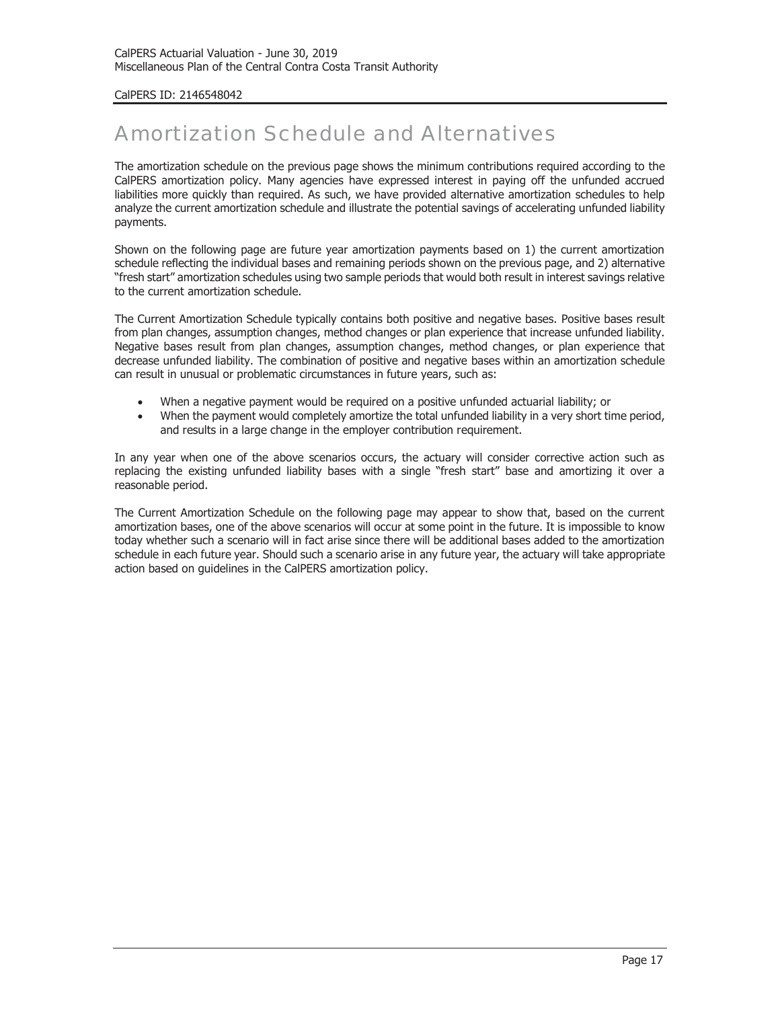#### CalPERS ID: 2146548042

## Amortization Schedule and Alternatives

The amortization schedule on the previous page shows the minimum contributions required according to the CalPERS amortization policy. Many agencies have expressed interest in paying off the unfunded accrued liabilities more quickly than required. As such, we have provided alternative amortization schedules to help analyze the current amortization schedule and illustrate the potential savings of accelerating unfunded liability payments.

Shown on the following page are future year amortization payments based on 1) the current amortization schedule reflecting the individual bases and remaining periods shown on the previous page, and 2) alternative "fresh start" amortization schedules using two sample periods that would both result in interest savings relative to the current amortization schedule.

The Current Amortization Schedule typically contains both positive and negative bases. Positive bases result from plan changes, assumption changes, method changes or plan experience that increase unfunded liability. Negative bases result from plan changes, assumption changes, method changes, or plan experience that decrease unfunded liability. The combination of positive and negative bases within an amortization schedule can result in unusual or problematic circumstances in future years, such as:

- When a negative payment would be required on a positive unfunded actuarial liability; or
- When the payment would completely amortize the total unfunded liability in a very short time period, and results in a large change in the employer contribution requirement.

In any year when one of the above scenarios occurs, the actuary will consider corrective action such as replacing the existing unfunded liability bases with a single "fresh start" base and amortizing it over a reasonable period.

The Current Amortization Schedule on the following page may appear to show that, based on the current amortization bases, one of the above scenarios will occur at some point in the future. It is impossible to know today whether such a scenario will in fact arise since there will be additional bases added to the amortization schedule in each future year. Should such a scenario arise in any future year, the actuary will take appropriate action based on guidelines in the CalPERS amortization policy.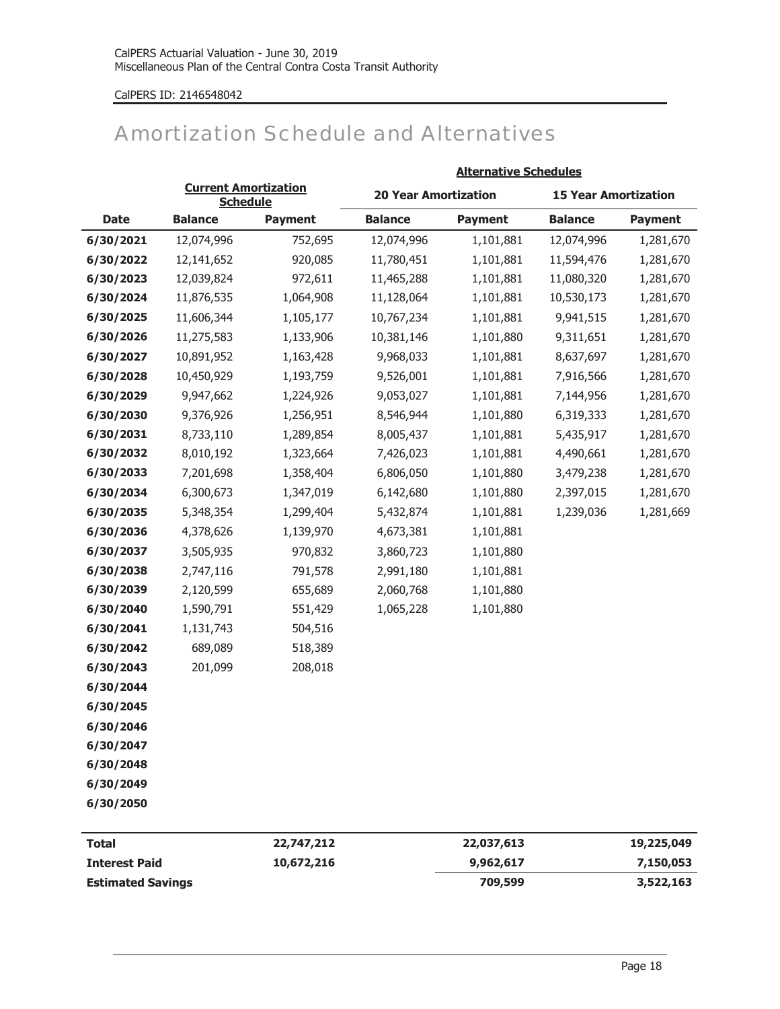### CalPERS ID: 2146548042

## Amortization Schedule and Alternatives

|             |                                                |                | <b>Alternative Schedules</b> |                |                             |                |  |
|-------------|------------------------------------------------|----------------|------------------------------|----------------|-----------------------------|----------------|--|
|             | <b>Current Amortization</b><br><b>Schedule</b> |                | <b>20 Year Amortization</b>  |                | <b>15 Year Amortization</b> |                |  |
| <b>Date</b> | <b>Balance</b>                                 | <b>Payment</b> | <b>Balance</b>               | <b>Payment</b> | <b>Balance</b>              | <b>Payment</b> |  |
| 6/30/2021   | 12,074,996                                     | 752,695        | 12,074,996                   | 1,101,881      | 12,074,996                  | 1,281,670      |  |
| 6/30/2022   | 12,141,652                                     | 920,085        | 11,780,451                   | 1,101,881      | 11,594,476                  | 1,281,670      |  |
| 6/30/2023   | 12,039,824                                     | 972,611        | 11,465,288                   | 1,101,881      | 11,080,320                  | 1,281,670      |  |
| 6/30/2024   | 11,876,535                                     | 1,064,908      | 11,128,064                   | 1,101,881      | 10,530,173                  | 1,281,670      |  |
| 6/30/2025   | 11,606,344                                     | 1,105,177      | 10,767,234                   | 1,101,881      | 9,941,515                   | 1,281,670      |  |
| 6/30/2026   | 11,275,583                                     | 1,133,906      | 10,381,146                   | 1,101,880      | 9,311,651                   | 1,281,670      |  |
| 6/30/2027   | 10,891,952                                     | 1,163,428      | 9,968,033                    | 1,101,881      | 8,637,697                   | 1,281,670      |  |
| 6/30/2028   | 10,450,929                                     | 1,193,759      | 9,526,001                    | 1,101,881      | 7,916,566                   | 1,281,670      |  |
| 6/30/2029   | 9,947,662                                      | 1,224,926      | 9,053,027                    | 1,101,881      | 7,144,956                   | 1,281,670      |  |
| 6/30/2030   | 9,376,926                                      | 1,256,951      | 8,546,944                    | 1,101,880      | 6,319,333                   | 1,281,670      |  |
| 6/30/2031   | 8,733,110                                      | 1,289,854      | 8,005,437                    | 1,101,881      | 5,435,917                   | 1,281,670      |  |
| 6/30/2032   | 8,010,192                                      | 1,323,664      | 7,426,023                    | 1,101,881      | 4,490,661                   | 1,281,670      |  |
| 6/30/2033   | 7,201,698                                      | 1,358,404      | 6,806,050                    | 1,101,880      | 3,479,238                   | 1,281,670      |  |
| 6/30/2034   | 6,300,673                                      | 1,347,019      | 6,142,680                    | 1,101,880      | 2,397,015                   | 1,281,670      |  |
| 6/30/2035   | 5,348,354                                      | 1,299,404      | 5,432,874                    | 1,101,881      | 1,239,036                   | 1,281,669      |  |
| 6/30/2036   | 4,378,626                                      | 1,139,970      | 4,673,381                    | 1,101,881      |                             |                |  |
| 6/30/2037   | 3,505,935                                      | 970,832        | 3,860,723                    | 1,101,880      |                             |                |  |
| 6/30/2038   | 2,747,116                                      | 791,578        | 2,991,180                    | 1,101,881      |                             |                |  |
| 6/30/2039   | 2,120,599                                      | 655,689        | 2,060,768                    | 1,101,880      |                             |                |  |
| 6/30/2040   | 1,590,791                                      | 551,429        | 1,065,228                    | 1,101,880      |                             |                |  |
| 6/30/2041   | 1,131,743                                      | 504,516        |                              |                |                             |                |  |
| 6/30/2042   | 689,089                                        | 518,389        |                              |                |                             |                |  |
| 6/30/2043   | 201,099                                        | 208,018        |                              |                |                             |                |  |
| 6/30/2044   |                                                |                |                              |                |                             |                |  |
| 6/30/2045   |                                                |                |                              |                |                             |                |  |
| 6/30/2046   |                                                |                |                              |                |                             |                |  |
| 6/30/2047   |                                                |                |                              |                |                             |                |  |
| 6/30/2048   |                                                |                |                              |                |                             |                |  |
| 6/30/2049   |                                                |                |                              |                |                             |                |  |
| 6/30/2050   |                                                |                |                              |                |                             |                |  |
|             |                                                |                |                              |                |                             |                |  |

| <b>Total</b>             | 22,747,212 | 22,037,613 | 19,225,049 |
|--------------------------|------------|------------|------------|
| <b>Interest Paid</b>     | 10,672,216 | 9,962,617  | 7,150,053  |
| <b>Estimated Savings</b> |            | 709,599    | 3,522,163  |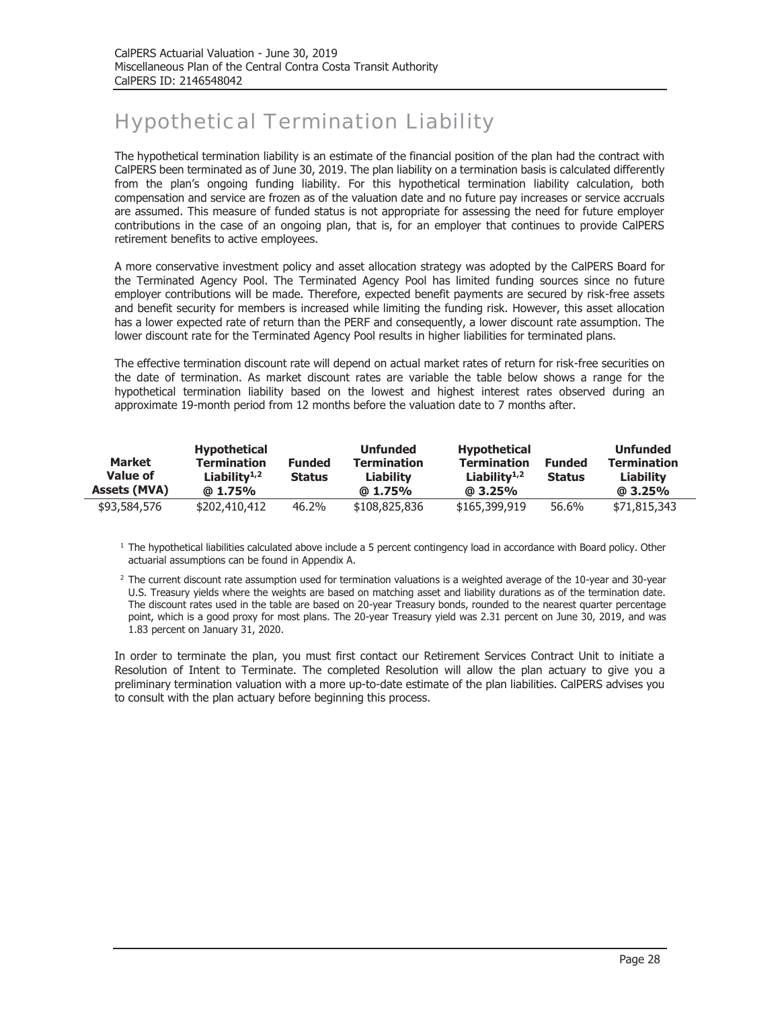# Hypothetical Termination Liability

The hypothetical termination liability is an estimate of the financial position of the plan had the contract with CalPERS been terminated as of June 30, 2019. The plan liability on a termination basis is calculated differently from the plan's ongoing funding liability. For this hypothetical termination liability calculation, both compensation and service are frozen as of the valuation date and no future pay increases or service accruals are assumed. This measure of funded status is not appropriate for assessing the need for future employer contributions in the case of an ongoing plan, that is, for an employer that continues to provide CalPERS retirement benefits to active employees.

A more conservative investment policy and asset allocation strategy was adopted by the CalPERS Board for the Terminated Agency Pool. The Terminated Agency Pool has limited funding sources since no future employer contributions will be made. Therefore, expected benefit payments are secured by risk-free assets and benefit security for members is increased while limiting the funding risk. However, this asset allocation has a lower expected rate of return than the PERF and consequently, a lower discount rate assumption. The lower discount rate for the Terminated Agency Pool results in higher liabilities for terminated plans.

The effective termination discount rate will depend on actual market rates of return for risk-free securities on the date of termination. As market discount rates are variable the table below shows a range for the hypothetical termination liability based on the lowest and highest interest rates observed during an approximate 19-month period from 12 months before the valuation date to 7 months after.

| <b>Market</b><br>Value of<br><b>Assets (MVA)</b> | <b>Hypothetical</b><br><b>Termination</b><br>Liability $1,2$<br>$@1.75\%$ | <b>Funded</b><br><b>Status</b> | <b>Unfunded</b><br><b>Termination</b><br><b>Liability</b><br>$@1.75\%$ | <b>Hypothetical</b><br><b>Termination</b><br>Liability $1,2$<br>$@3.25\%$ | <b>Funded</b><br><b>Status</b> | <b>Unfunded</b><br><b>Termination</b><br>Liability<br>$@3.25\%$ |
|--------------------------------------------------|---------------------------------------------------------------------------|--------------------------------|------------------------------------------------------------------------|---------------------------------------------------------------------------|--------------------------------|-----------------------------------------------------------------|
| \$93,584,576                                     | \$202,410,412                                                             | 46.2%                          | \$108,825,836                                                          | \$165,399,919                                                             | 56.6%                          | \$71,815,343                                                    |

<sup>1</sup> The hypothetical liabilities calculated above include a 5 percent contingency load in accordance with Board policy. Other actuarial assumptions can be found in Appendix A.

<sup>2</sup> The current discount rate assumption used for termination valuations is a weighted average of the 10-year and 30-year U.S. Treasury yields where the weights are based on matching asset and liability durations as of the termination date. The discount rates used in the table are based on 20-year Treasury bonds, rounded to the nearest quarter percentage point, which is a good proxy for most plans. The 20-year Treasury yield was 2.31 percent on June 30, 2019, and was 1.83 percent on January 31, 2020.

In order to terminate the plan, you must first contact our Retirement Services Contract Unit to initiate a Resolution of Intent to Terminate. The completed Resolution will allow the plan actuary to give you a preliminary termination valuation with a more up-to-date estimate of the plan liabilities. CalPERS advises you to consult with the plan actuary before beginning this process.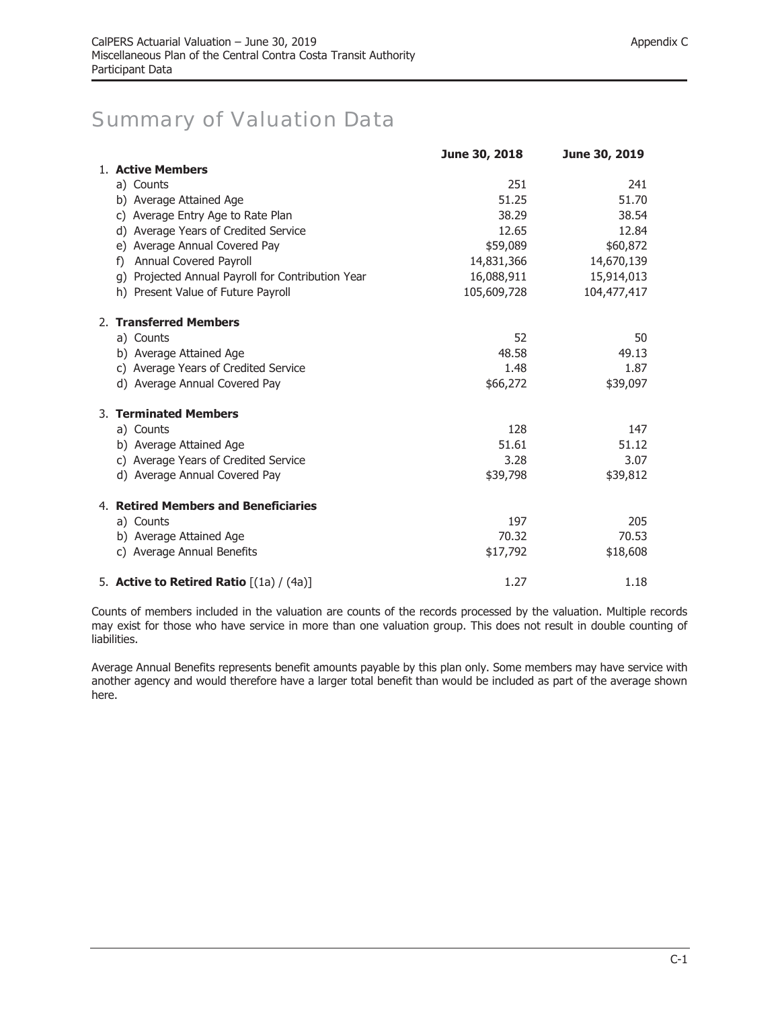### Summary of Valuation Data

|                                                   | June 30, 2018 | June 30, 2019 |
|---------------------------------------------------|---------------|---------------|
| 1. Active Members                                 |               |               |
| a) Counts                                         | 251           | 241           |
| b) Average Attained Age                           | 51.25         | 51.70         |
| c) Average Entry Age to Rate Plan                 | 38.29         | 38.54         |
| d) Average Years of Credited Service              | 12.65         | 12.84         |
| e) Average Annual Covered Pay                     | \$59,089      | \$60,872      |
| Annual Covered Payroll<br>f)                      | 14,831,366    | 14,670,139    |
| g) Projected Annual Payroll for Contribution Year | 16,088,911    | 15,914,013    |
| h) Present Value of Future Payroll                | 105,609,728   | 104,477,417   |
| 2. Transferred Members                            |               |               |
| a) Counts                                         | 52            | 50            |
| b) Average Attained Age                           | 48.58         | 49.13         |
| c) Average Years of Credited Service              | 1.48          | 1.87          |
| d) Average Annual Covered Pay                     | \$66,272      | \$39,097      |
| 3. Terminated Members                             |               |               |
| a) Counts                                         | 128           | 147           |
| b) Average Attained Age                           | 51.61         | 51.12         |
| c) Average Years of Credited Service              | 3.28          | 3.07          |
| d) Average Annual Covered Pay                     | \$39,798      | \$39,812      |
| 4. Retired Members and Beneficiaries              |               |               |
| a) Counts                                         | 197           | 205           |
| b) Average Attained Age                           | 70.32         | 70.53         |
| c) Average Annual Benefits                        | \$17,792      | \$18,608      |
| 5. Active to Retired Ratio $[(1a)/(4a)]$          | 1.27          | 1.18          |

Counts of members included in the valuation are counts of the records processed by the valuation. Multiple records may exist for those who have service in more than one valuation group. This does not result in double counting of liabilities.

Average Annual Benefits represents benefit amounts payable by this plan only. Some members may have service with another agency and would therefore have a larger total benefit than would be included as part of the average shown here.